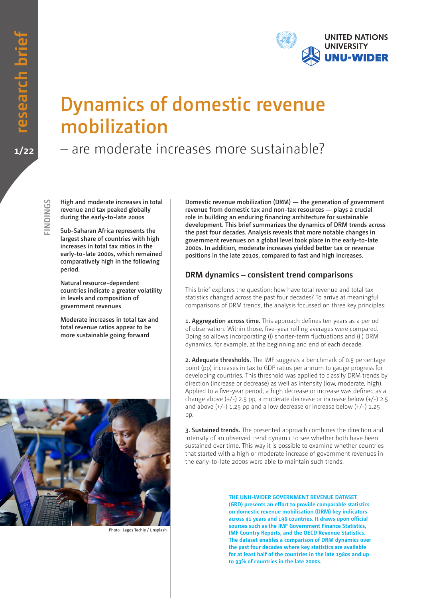

# **Dynamics of domestic revenue mobilization**

## – are moderate increases more sustainable?

**SDINDINGS FINDINGS** **High and moderate increases in total revenue and tax peaked globally during the early-to-late 2000s**

**Sub-Saharan Africa represents the largest share of countries with high increases in total tax ratios in the early-to-late 2000s, which remained comparatively high in the following period.** 

**Natural resource-dependent countries indicate a greater volatility in levels and composition of government revenues**

**Moderate increases in total tax and total revenue ratios appear to be more sustainable going forward**



Photo: Lagos Techie / Unsplash

**Domestic revenue mobilization (DRM) — the generation of government revenue from domestic tax and non-tax resources — plays a crucial role in building an enduring financing architecture for sustainable development. This brief summarizes the dynamics of DRM trends across the past four decades. Analysis reveals that more notable changes in government revenues on a global level took place in the early-to-late 2000s. In addition, moderate increases yielded better tax or revenue positions in the late 2010s, compared to fast and high increases.**

#### **DRM dynamics – consistent trend comparisons**

This brief explores the question: how have total revenue and total tax statistics changed across the past four decades? To arrive at meaningful comparisons of DRM trends, the analysis focussed on three key principles:

**1. Aggregation across time.** This approach defines ten years as a period of observation. Within those, five-year rolling averages were compared. Doing so allows incorporating (i) shorter-term fluctuations and (ii) DRM dynamics, for example, at the beginning and end of each decade.

**2. Adequate thresholds.** The IMF suggests a benchmark of 0.5 percentage point (pp) increases in tax to GDP ratios per annum to gauge progress for developing countries. This threshold was applied to classify DRM trends by direction (increase or decrease) as well as intensity (low, moderate, high). Applied to a five-year period, a high decrease or increase was defined as a change above (+/-) 2.5 pp, a moderate decrease or increase below (+/-) 2.5 and above  $(+/-)$  1.25 pp and a low decrease or increase below  $(+/-)$  1.25 pp.

**3. Sustained trends.** The presented approach combines the direction and intensity of an observed trend dynamic to see whether both have been sustained over time. This way it is possible to examine whether countries that started with a high or moderate increase of government revenues in the early-to-late 2000s were able to maintain such trends.

> **THE UNU-WIDER GOVERNMENT REVENUE DATASET (GRD) presents an effort to provide comparable statistics on domestic revenue mobilisation (DRM) key indicators across 41 years and 196 countries. It draws upon official sources such as the IMF Government Finance Statistics, IMF Country Reports, and the OECD Revenue Statistics. The dataset enables a comparison of DRM dynamics over the past four decades where key statistics are available for at least half of the countries in the late 1980s and up to 93% of countries in the late 2000s.**